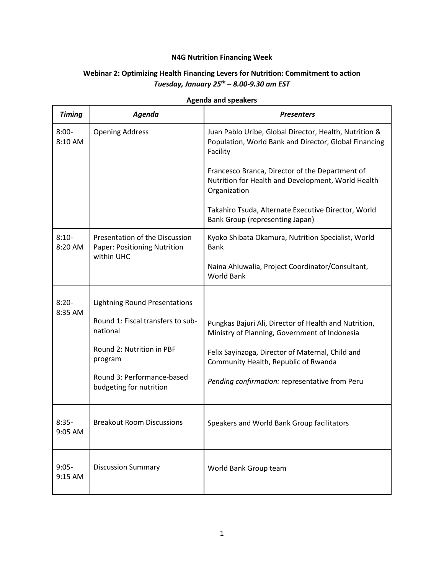## **N4G Nutrition Financing Week**

## **Webinar 2: Optimizing Health Financing Levers for Nutrition: Commitment to action** *Tuesday, January 25th – 8.00-9.30 am EST*

| <b>Timing</b>       | Agenda                                                                       | <b>Presenters</b>                                                                                                           |
|---------------------|------------------------------------------------------------------------------|-----------------------------------------------------------------------------------------------------------------------------|
| $8:00 -$<br>8:10 AM | <b>Opening Address</b>                                                       | Juan Pablo Uribe, Global Director, Health, Nutrition &<br>Population, World Bank and Director, Global Financing<br>Facility |
|                     |                                                                              | Francesco Branca, Director of the Department of<br>Nutrition for Health and Development, World Health<br>Organization       |
|                     |                                                                              | Takahiro Tsuda, Alternate Executive Director, World<br>Bank Group (representing Japan)                                      |
| $8:10-$<br>8:20 AM  | Presentation of the Discussion<br>Paper: Positioning Nutrition<br>within UHC | Kyoko Shibata Okamura, Nutrition Specialist, World<br><b>Bank</b>                                                           |
|                     |                                                                              | Naina Ahluwalia, Project Coordinator/Consultant,<br><b>World Bank</b>                                                       |
| $8:20-$<br>8:35 AM  | <b>Lightning Round Presentations</b>                                         |                                                                                                                             |
|                     | Round 1: Fiscal transfers to sub-<br>national                                | Pungkas Bajuri Ali, Director of Health and Nutrition,<br>Ministry of Planning, Government of Indonesia                      |
|                     | Round 2: Nutrition in PBF<br>program                                         | Felix Sayinzoga, Director of Maternal, Child and<br>Community Health, Republic of Rwanda                                    |
|                     | Round 3: Performance-based<br>budgeting for nutrition                        | Pending confirmation: representative from Peru                                                                              |
| $8:35-$<br>9:05 AM  | <b>Breakout Room Discussions</b>                                             | Speakers and World Bank Group facilitators                                                                                  |
| $9:05-$<br>9:15 AM  | <b>Discussion Summary</b>                                                    | World Bank Group team                                                                                                       |

## **Agenda and speakers**